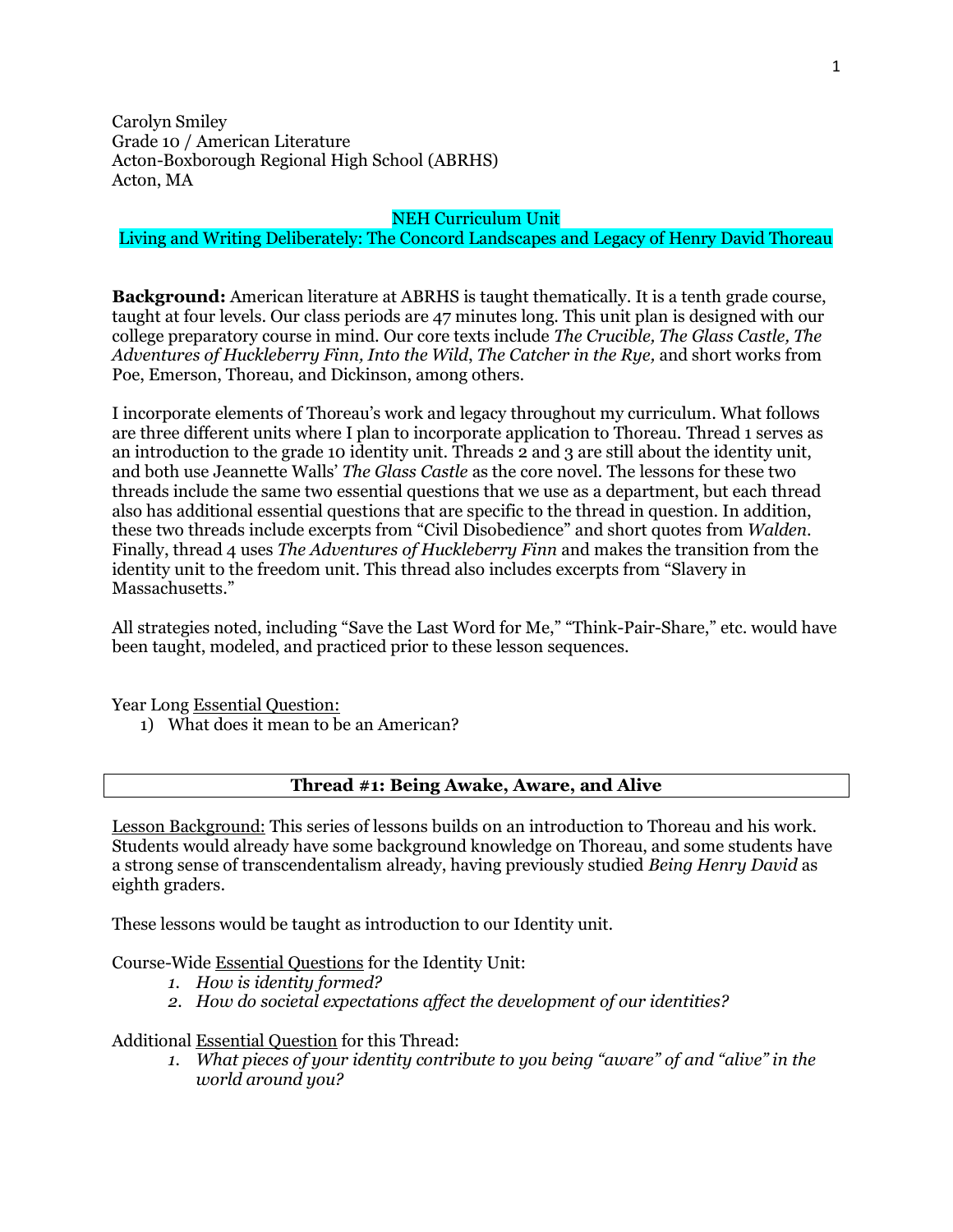Carolyn Smiley Grade 10 / American Literature Acton-Boxborough Regional High School (ABRHS) Acton, MA

#### NEH Curriculum Unit

## Living and Writing Deliberately: The Concord Landscapes and Legacy of Henry David Thoreau

**Background:** American literature at ABRHS is taught thematically. It is a tenth grade course, taught at four levels. Our class periods are 47 minutes long. This unit plan is designed with our college preparatory course in mind. Our core texts include *The Crucible, The Glass Castle, The Adventures of Huckleberry Finn, Into the Wild*, *The Catcher in the Rye,* and short works from Poe, Emerson, Thoreau, and Dickinson, among others.

I incorporate elements of Thoreau's work and legacy throughout my curriculum. What follows are three different units where I plan to incorporate application to Thoreau. Thread 1 serves as an introduction to the grade 10 identity unit. Threads 2 and 3 are still about the identity unit, and both use Jeannette Walls' *The Glass Castle* as the core novel*.* The lessons for these two threads include the same two essential questions that we use as a department, but each thread also has additional essential questions that are specific to the thread in question. In addition, these two threads include excerpts from "Civil Disobedience" and short quotes from *Walden*. Finally, thread 4 uses *The Adventures of Huckleberry Finn* and makes the transition from the identity unit to the freedom unit. This thread also includes excerpts from "Slavery in Massachusetts."

All strategies noted, including "Save the Last Word for Me," "Think-Pair-Share," etc. would have been taught, modeled, and practiced prior to these lesson sequences.

Year Long Essential Question:

1) What does it mean to be an American?

#### **Thread #1: Being Awake, Aware, and Alive**

Lesson Background: This series of lessons builds on an introduction to Thoreau and his work. Students would already have some background knowledge on Thoreau, and some students have a strong sense of transcendentalism already, having previously studied *Being Henry David* as eighth graders.

These lessons would be taught as introduction to our Identity unit.

Course-Wide Essential Questions for the Identity Unit:

- *1. How is identity formed?*
- *2. How do societal expectations affect the development of our identities?*

#### Additional Essential Question for this Thread:

*1. What pieces of your identity contribute to you being "aware" of and "alive" in the world around you?*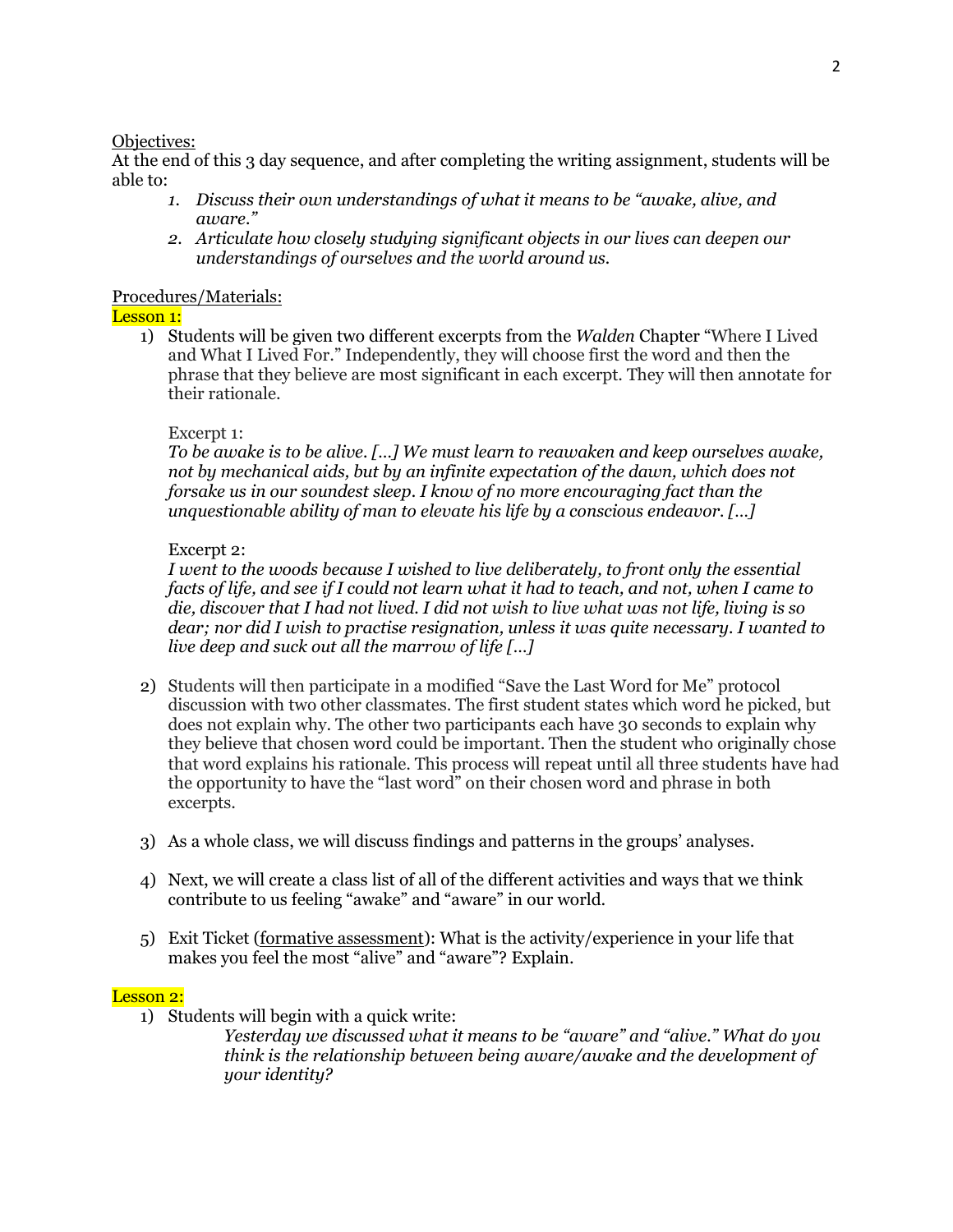### Objectives:

At the end of this 3 day sequence, and after completing the writing assignment, students will be able to:

- *1. Discuss their own understandings of what it means to be "awake, alive, and aware."*
- *2. Articulate how closely studying significant objects in our lives can deepen our understandings of ourselves and the world around us.*

## Procedures/Materials:

### Lesson 1:

1) Students will be given two different excerpts from the *Walden* Chapter "Where I Lived and What I Lived For." Independently, they will choose first the word and then the phrase that they believe are most significant in each excerpt. They will then annotate for their rationale.

## Excerpt 1:

*To be awake is to be alive. […] We must learn to reawaken and keep ourselves awake, not by mechanical aids, but by an infinite expectation of the dawn, which does not forsake us in our soundest sleep. I know of no more encouraging fact than the unquestionable ability of man to elevate his life by a conscious endeavor. […]*

## Excerpt 2:

*I went to the woods because I wished to live deliberately, to front only the essential facts of life, and see if I could not learn what it had to teach, and not, when I came to die, discover that I had not lived. I did not wish to live what was not life, living is so dear; nor did I wish to practise resignation, unless it was quite necessary. I wanted to live deep and suck out all the marrow of life […]*

- 2) Students will then participate in a modified "Save the Last Word for Me" protocol discussion with two other classmates. The first student states which word he picked, but does not explain why. The other two participants each have 30 seconds to explain why they believe that chosen word could be important. Then the student who originally chose that word explains his rationale. This process will repeat until all three students have had the opportunity to have the "last word" on their chosen word and phrase in both excerpts.
- 3) As a whole class, we will discuss findings and patterns in the groups' analyses.
- 4) Next, we will create a class list of all of the different activities and ways that we think contribute to us feeling "awake" and "aware" in our world.
- 5) Exit Ticket (formative assessment): What is the activity/experience in your life that makes you feel the most "alive" and "aware"? Explain.

### Lesson 2:

1) Students will begin with a quick write:

*Yesterday we discussed what it means to be "aware" and "alive." What do you think is the relationship between being aware/awake and the development of your identity?*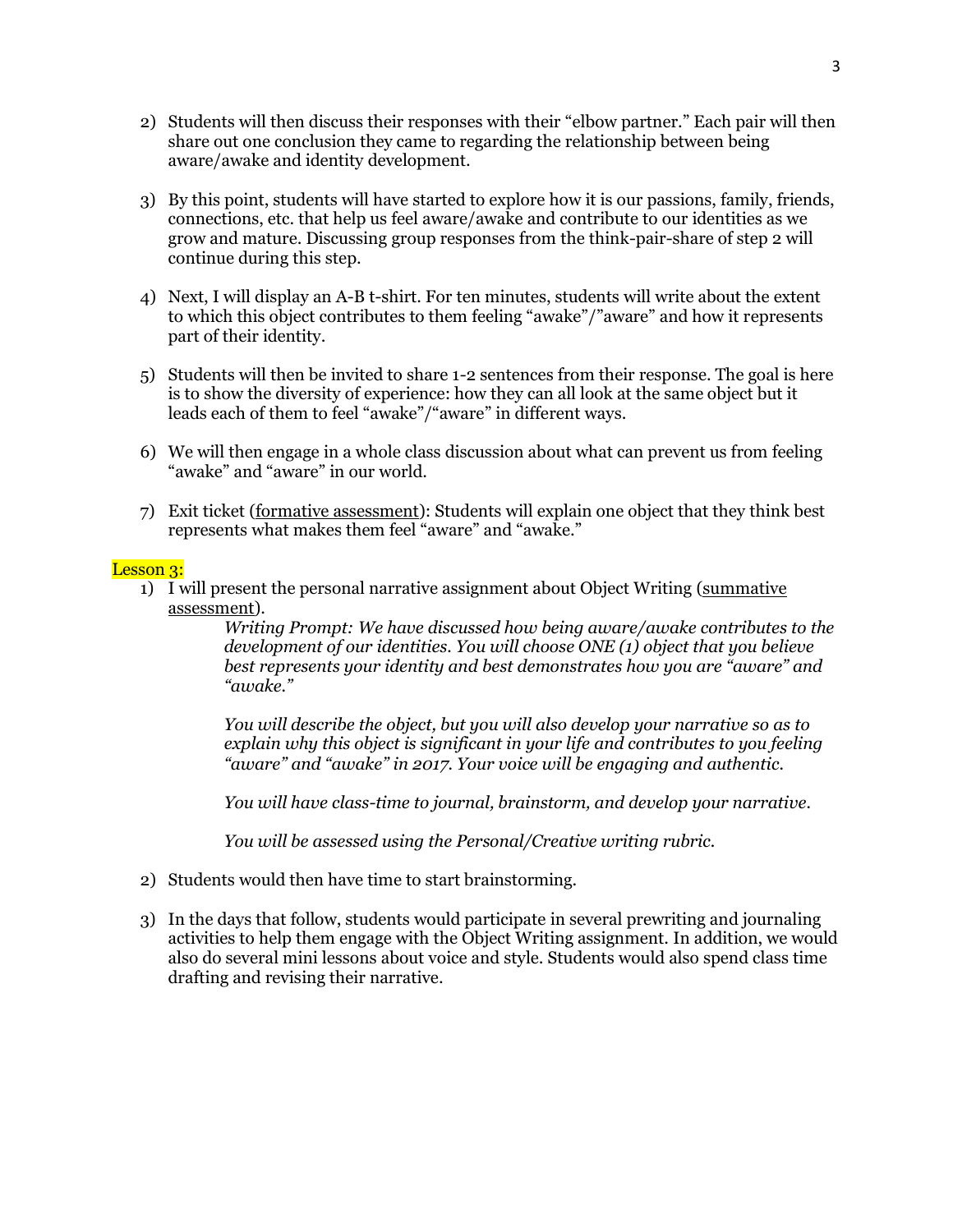- 2) Students will then discuss their responses with their "elbow partner." Each pair will then share out one conclusion they came to regarding the relationship between being aware/awake and identity development.
- 3) By this point, students will have started to explore how it is our passions, family, friends, connections, etc. that help us feel aware/awake and contribute to our identities as we grow and mature. Discussing group responses from the think-pair-share of step 2 will continue during this step.
- 4) Next, I will display an A-B t-shirt. For ten minutes, students will write about the extent to which this object contributes to them feeling "awake"/"aware" and how it represents part of their identity.
- 5) Students will then be invited to share 1-2 sentences from their response. The goal is here is to show the diversity of experience: how they can all look at the same object but it leads each of them to feel "awake"/"aware" in different ways.
- 6) We will then engage in a whole class discussion about what can prevent us from feeling "awake" and "aware" in our world.
- 7) Exit ticket (formative assessment): Students will explain one object that they think best represents what makes them feel "aware" and "awake."

#### Lesson 3:

1) I will present the personal narrative assignment about Object Writing (summative assessment).

*Writing Prompt: We have discussed how being aware/awake contributes to the development of our identities. You will choose ONE (1) object that you believe best represents your identity and best demonstrates how you are "aware" and "awake."* 

*You will describe the object, but you will also develop your narrative so as to explain why this object is significant in your life and contributes to you feeling "aware" and "awake" in 2017. Your voice will be engaging and authentic.* 

*You will have class-time to journal, brainstorm, and develop your narrative.*

*You will be assessed using the Personal/Creative writing rubric.* 

- 2) Students would then have time to start brainstorming.
- 3) In the days that follow, students would participate in several prewriting and journaling activities to help them engage with the Object Writing assignment. In addition, we would also do several mini lessons about voice and style. Students would also spend class time drafting and revising their narrative.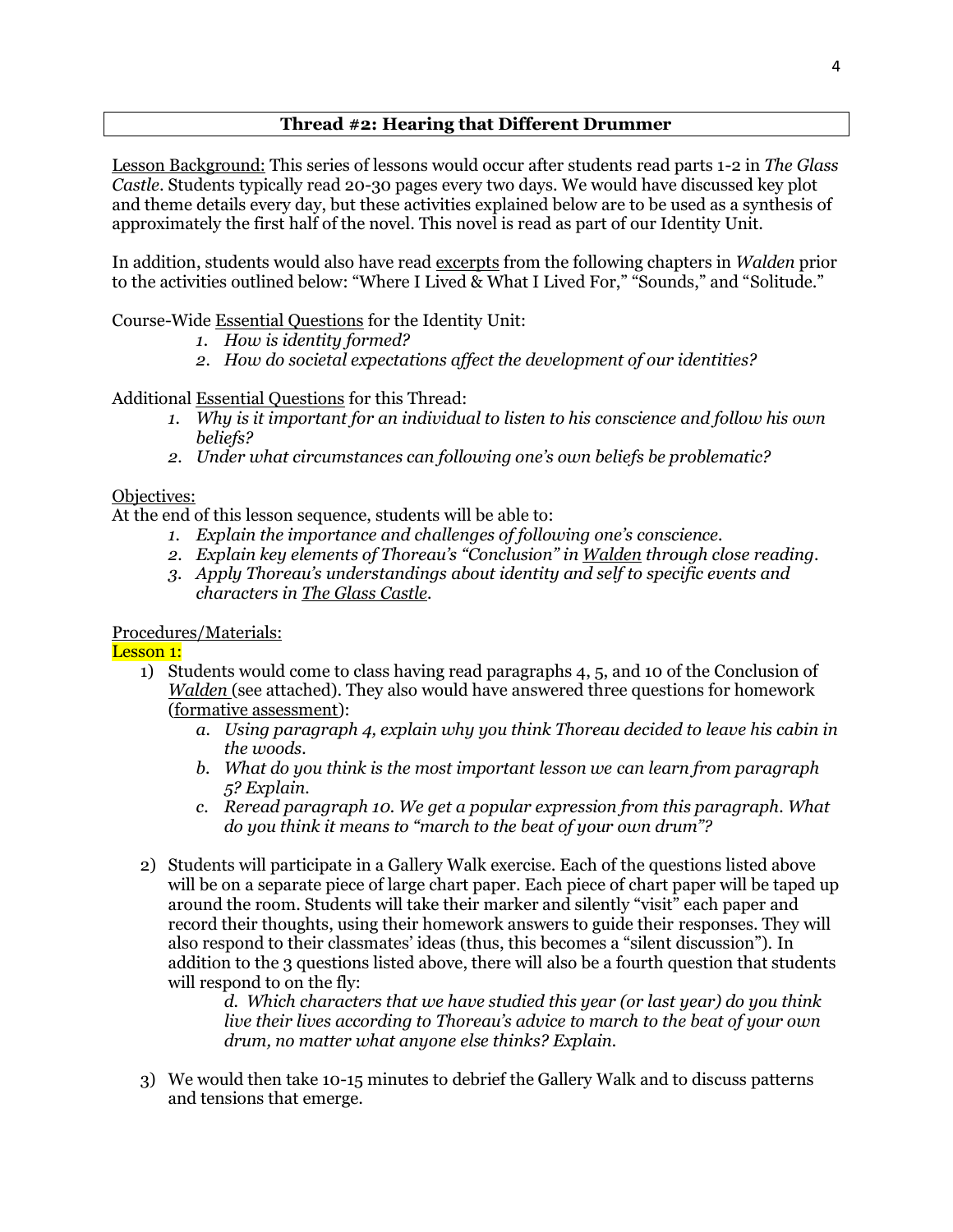# **Thread #2: Hearing that Different Drummer**

Lesson Background: This series of lessons would occur after students read parts 1-2 in *The Glass Castle*. Students typically read 20-30 pages every two days. We would have discussed key plot and theme details every day, but these activities explained below are to be used as a synthesis of approximately the first half of the novel. This novel is read as part of our Identity Unit.

In addition, students would also have read excerpts from the following chapters in *Walden* prior to the activities outlined below: "Where I Lived & What I Lived For," "Sounds," and "Solitude."

Course-Wide Essential Questions for the Identity Unit:

- *1. How is identity formed?*
- *2. How do societal expectations affect the development of our identities?*

# Additional Essential Questions for this Thread:

- *1. Why is it important for an individual to listen to his conscience and follow his own beliefs?*
- *2. Under what circumstances can following one's own beliefs be problematic?*

# Objectives:

At the end of this lesson sequence, students will be able to:

- *1. Explain the importance and challenges of following one's conscience.*
- *2. Explain key elements of Thoreau's "Conclusion" in Walden through close reading.*
- *3. Apply Thoreau's understandings about identity and self to specific events and characters in The Glass Castle.*

# Procedures/Materials:

# Lesson 1:

- 1) Students would come to class having read paragraphs 4, 5, and 10 of the Conclusion of *Walden* (see attached). They also would have answered three questions for homework (formative assessment):
	- *a. Using paragraph 4, explain why you think Thoreau decided to leave his cabin in the woods.*
	- *b. What do you think is the most important lesson we can learn from paragraph 5? Explain.*
	- *c. Reread paragraph 10. We get a popular expression from this paragraph. What do you think it means to "march to the beat of your own drum"?*
- 2) Students will participate in a Gallery Walk exercise. Each of the questions listed above will be on a separate piece of large chart paper. Each piece of chart paper will be taped up around the room. Students will take their marker and silently "visit" each paper and record their thoughts, using their homework answers to guide their responses. They will also respond to their classmates' ideas (thus, this becomes a "silent discussion"). In addition to the 3 questions listed above, there will also be a fourth question that students will respond to on the fly:

*d. Which characters that we have studied this year (or last year) do you think live their lives according to Thoreau's advice to march to the beat of your own drum, no matter what anyone else thinks? Explain.* 

3) We would then take 10-15 minutes to debrief the Gallery Walk and to discuss patterns and tensions that emerge.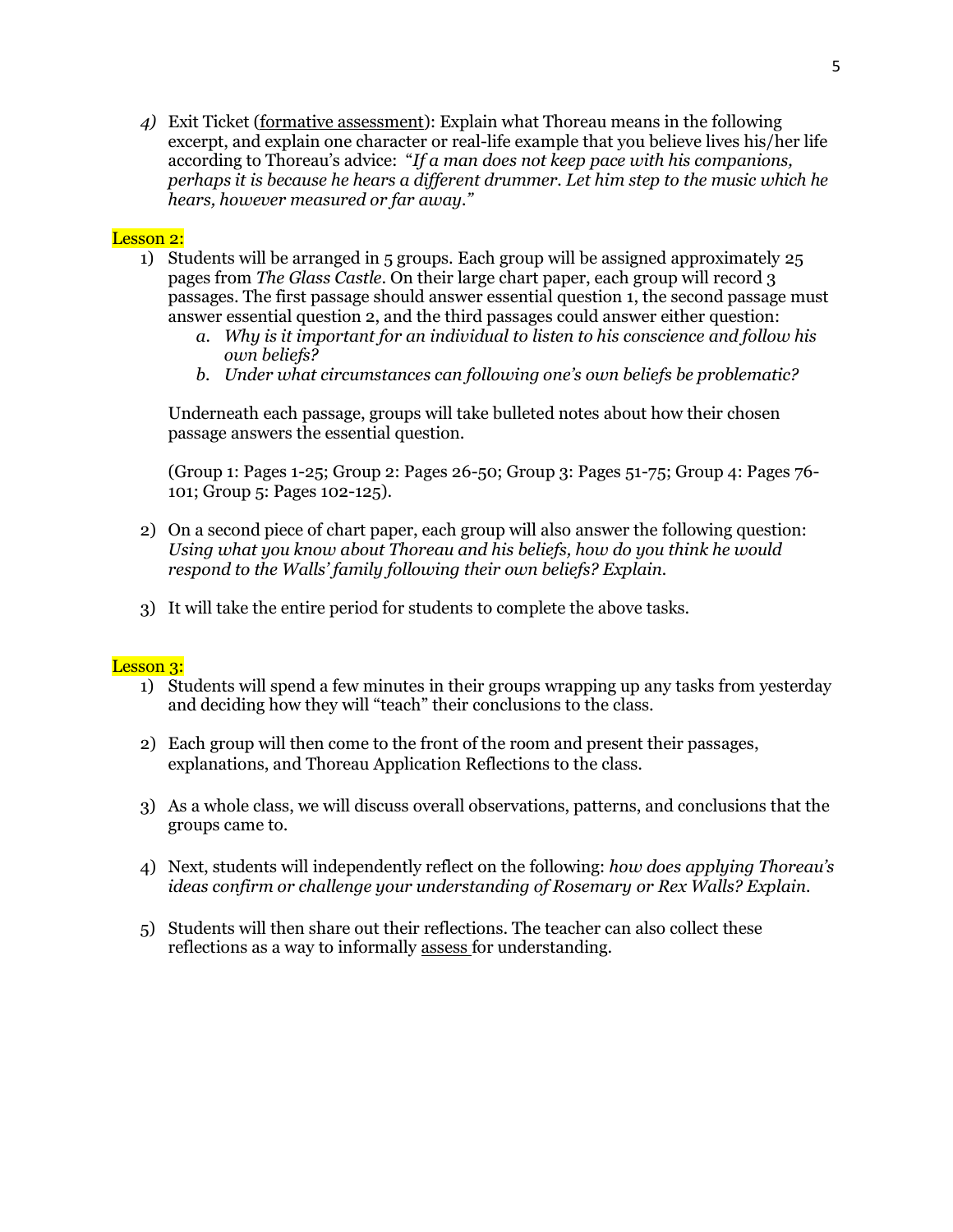*4)* Exit Ticket (formative assessment): Explain what Thoreau means in the following excerpt, and explain one character or real-life example that you believe lives his/her life according to Thoreau's advice: "*If a man does not keep pace with his companions, perhaps it is because he hears a different drummer. Let him step to the music which he hears, however measured or far away."*

## Lesson 2:

- 1) Students will be arranged in 5 groups. Each group will be assigned approximately 25 pages from *The Glass Castle*. On their large chart paper, each group will record 3 passages. The first passage should answer essential question 1, the second passage must answer essential question 2, and the third passages could answer either question:
	- *a. Why is it important for an individual to listen to his conscience and follow his own beliefs?*
	- *b. Under what circumstances can following one's own beliefs be problematic?*

Underneath each passage, groups will take bulleted notes about how their chosen passage answers the essential question.

(Group 1: Pages 1-25; Group 2: Pages 26-50; Group 3: Pages 51-75; Group 4: Pages 76- 101; Group 5: Pages 102-125).

- 2) On a second piece of chart paper, each group will also answer the following question: *Using what you know about Thoreau and his beliefs, how do you think he would respond to the Walls' family following their own beliefs? Explain.*
- 3) It will take the entire period for students to complete the above tasks.

### Lesson 3:

- 1) Students will spend a few minutes in their groups wrapping up any tasks from yesterday and deciding how they will "teach" their conclusions to the class.
- 2) Each group will then come to the front of the room and present their passages, explanations, and Thoreau Application Reflections to the class.
- 3) As a whole class, we will discuss overall observations, patterns, and conclusions that the groups came to.
- 4) Next, students will independently reflect on the following: *how does applying Thoreau's ideas confirm or challenge your understanding of Rosemary or Rex Walls? Explain.*
- 5) Students will then share out their reflections. The teacher can also collect these reflections as a way to informally assess for understanding.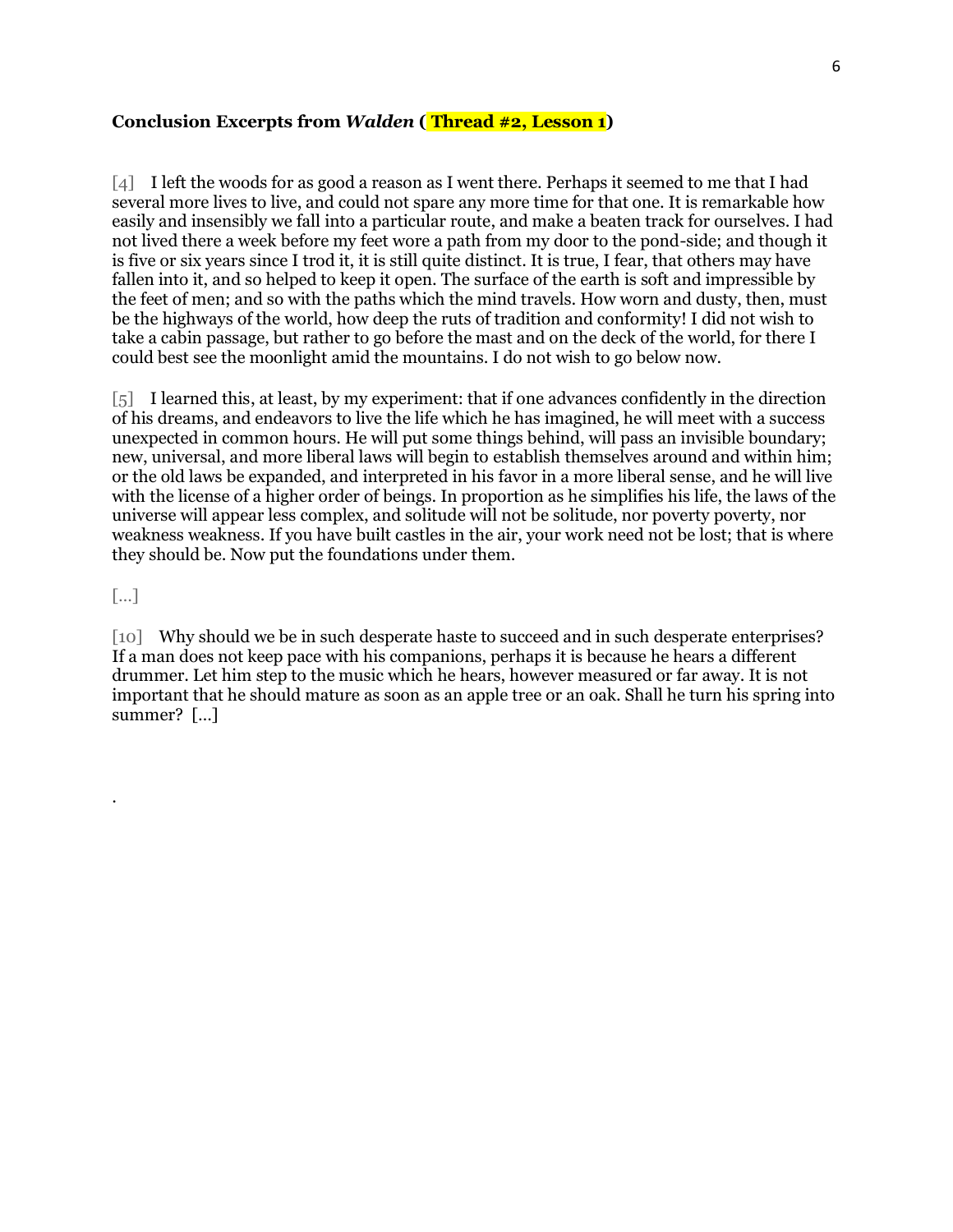#### **Conclusion Excerpts from** *Walden* **( Thread #2, Lesson 1)**

[4] I left the woods for as good a reason as I went there. Perhaps it seemed to me that I had several more lives to live, and could not spare any more time for that one. It is remarkable how easily and insensibly we fall into a particular route, and make a beaten track for ourselves. I had not lived there a week before my feet wore a path from my door to the pond-side; and though it is five or six years since I trod it, it is still quite distinct. It is true, I fear, that others may have fallen into it, and so helped to keep it open. The surface of the earth is soft and impressible by the feet of men; and so with the paths which the mind travels. How worn and dusty, then, must be the highways of the world, how deep the ruts of tradition and conformity! I did not wish to take a cabin passage, but rather to go before the mast and on the deck of the world, for there I could best see the moonlight amid the mountains. I do not wish to go below now.

[5] I learned this, at least, by my experiment: that if one advances confidently in the direction of his dreams, and endeavors to live the life which he has imagined, he will meet with a success unexpected in common hours. He will put some things behind, will pass an invisible boundary; new, universal, and more liberal laws will begin to establish themselves around and within him; or the old laws be expanded, and interpreted in his favor in a more liberal sense, and he will live with the license of a higher order of beings. In proportion as he simplifies his life, the laws of the universe will appear less complex, and solitude will not be solitude, nor poverty poverty, nor weakness weakness. If you have built castles in the air, your work need not be lost; that is where they should be. Now put the foundations under them.

[…]

.

[10] Why should we be in such desperate haste to succeed and in such desperate enterprises? If a man does not keep pace with his companions, perhaps it is because he hears a different drummer. Let him step to the music which he hears, however measured or far away. It is not important that he should mature as soon as an apple tree or an oak. Shall he turn his spring into summer? […]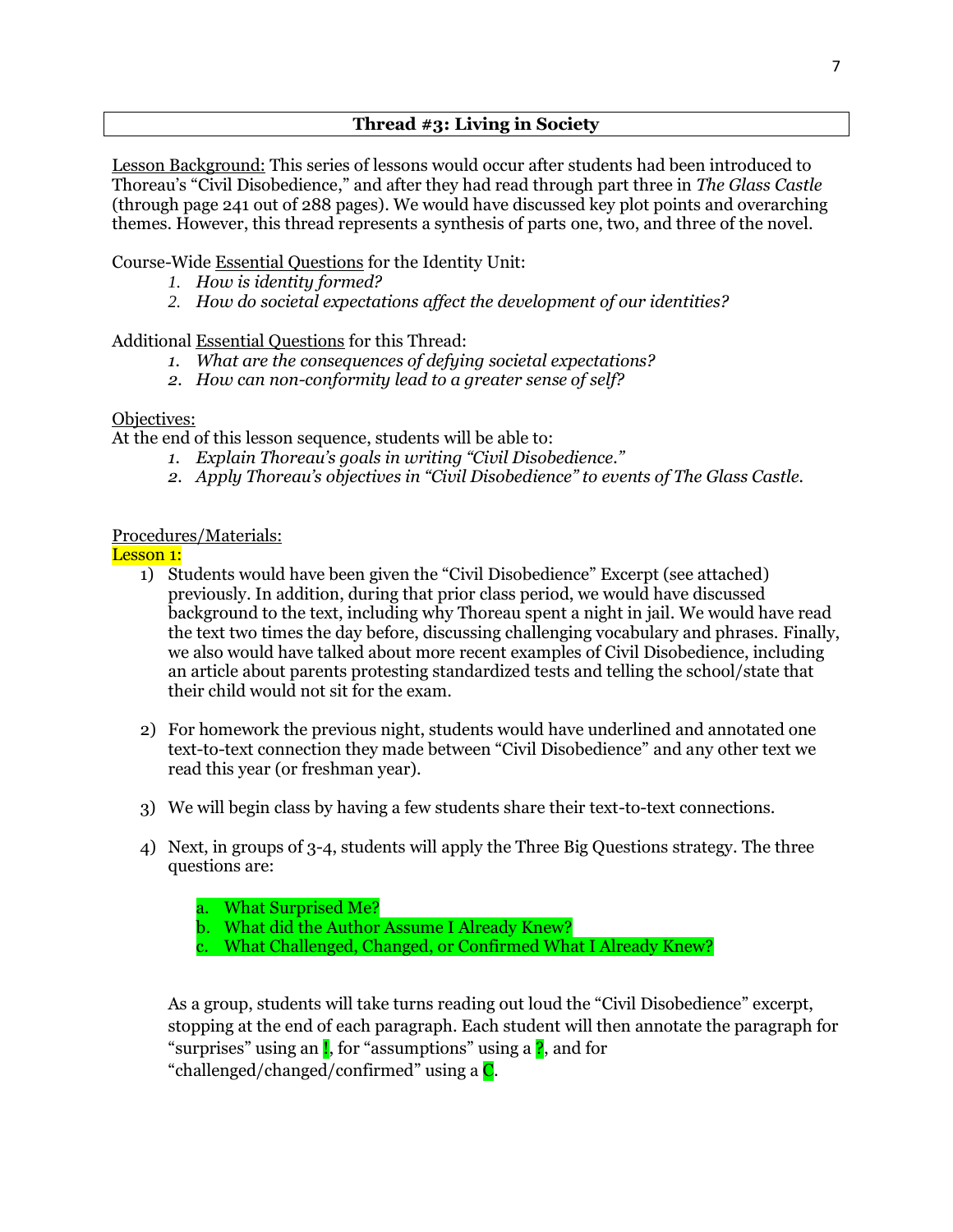Lesson Background: This series of lessons would occur after students had been introduced to Thoreau's "Civil Disobedience," and after they had read through part three in *The Glass Castle* (through page 241 out of 288 pages). We would have discussed key plot points and overarching themes. However, this thread represents a synthesis of parts one, two, and three of the novel.

Course-Wide Essential Questions for the Identity Unit:

- *1. How is identity formed?*
- *2. How do societal expectations affect the development of our identities?*

Additional Essential Questions for this Thread:

- *1. What are the consequences of defying societal expectations?*
- *2. How can non-conformity lead to a greater sense of self?*

### Objectives:

At the end of this lesson sequence, students will be able to:

- *1. Explain Thoreau's goals in writing "Civil Disobedience."*
- *2. Apply Thoreau's objectives in "Civil Disobedience" to events of The Glass Castle.*

### Procedures/Materials:

Lesson 1:

- 1) Students would have been given the "Civil Disobedience" Excerpt (see attached) previously. In addition, during that prior class period, we would have discussed background to the text, including why Thoreau spent a night in jail. We would have read the text two times the day before, discussing challenging vocabulary and phrases. Finally, we also would have talked about more recent examples of Civil Disobedience, including an article about parents protesting standardized tests and telling the school/state that their child would not sit for the exam.
- 2) For homework the previous night, students would have underlined and annotated one text-to-text connection they made between "Civil Disobedience" and any other text we read this year (or freshman year).
- 3) We will begin class by having a few students share their text-to-text connections.
- 4) Next, in groups of 3-4, students will apply the Three Big Questions strategy. The three questions are:
	- a. What Surprised Me?
	- b. What did the Author Assume I Already Knew?
	- c. What Challenged, Changed, or Confirmed What I Already Knew?

As a group, students will take turns reading out loud the "Civil Disobedience" excerpt, stopping at the end of each paragraph. Each student will then annotate the paragraph for "surprises" using an **!**, for "assumptions" using a **?**, and for "challenged/changed/confirmed" using a C.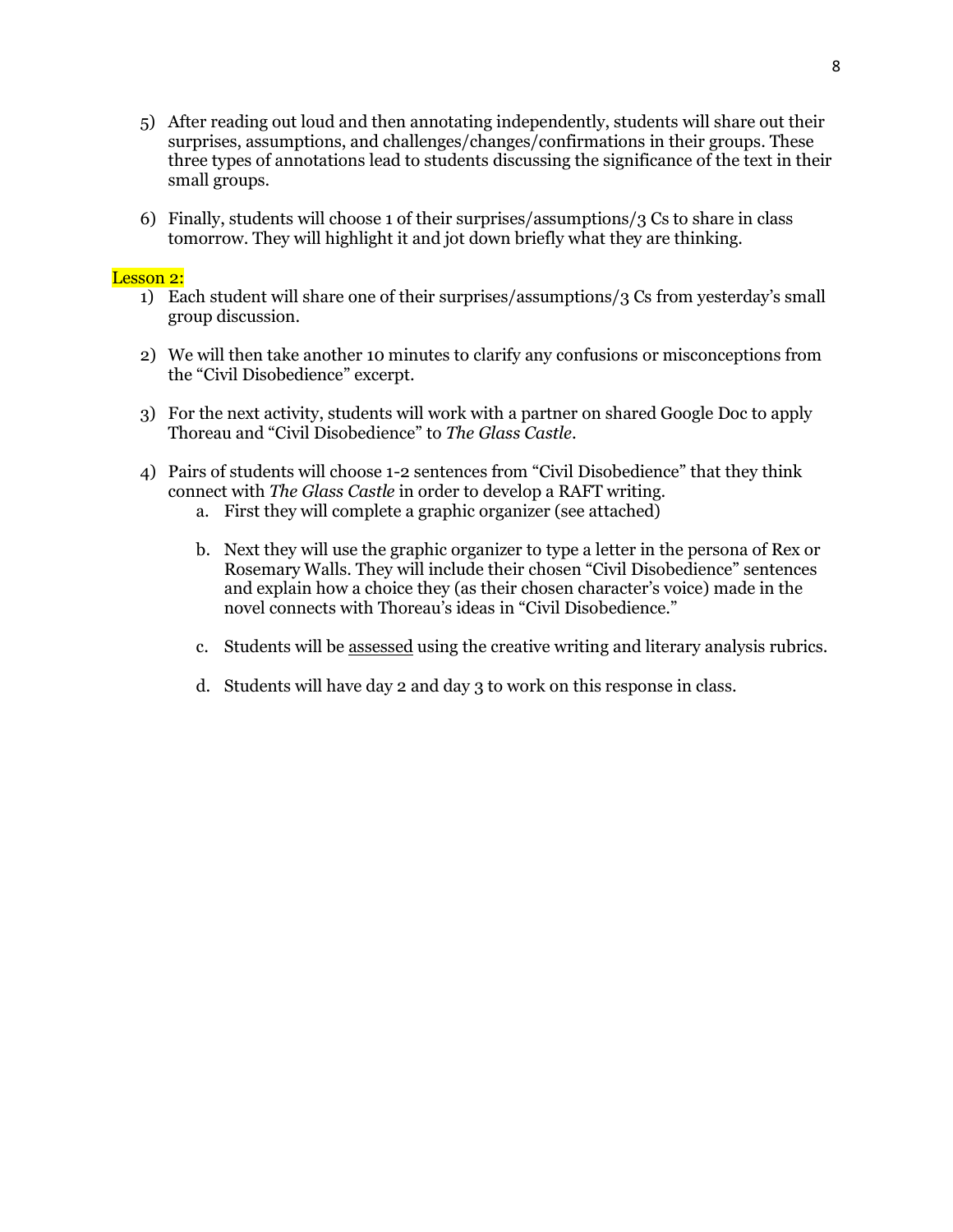- 5) After reading out loud and then annotating independently, students will share out their surprises, assumptions, and challenges/changes/confirmations in their groups. These three types of annotations lead to students discussing the significance of the text in their small groups.
- 6) Finally, students will choose 1 of their surprises/assumptions/3 Cs to share in class tomorrow. They will highlight it and jot down briefly what they are thinking.

### Lesson 2:

- 1) Each student will share one of their surprises/assumptions/3 Cs from yesterday's small group discussion.
- 2) We will then take another 10 minutes to clarify any confusions or misconceptions from the "Civil Disobedience" excerpt.
- 3) For the next activity, students will work with a partner on shared Google Doc to apply Thoreau and "Civil Disobedience" to *The Glass Castle*.
- 4) Pairs of students will choose 1-2 sentences from "Civil Disobedience" that they think connect with *The Glass Castle* in order to develop a RAFT writing.
	- a. First they will complete a graphic organizer (see attached)
	- b. Next they will use the graphic organizer to type a letter in the persona of Rex or Rosemary Walls. They will include their chosen "Civil Disobedience" sentences and explain how a choice they (as their chosen character's voice) made in the novel connects with Thoreau's ideas in "Civil Disobedience."
	- c. Students will be assessed using the creative writing and literary analysis rubrics.
	- d. Students will have day 2 and day 3 to work on this response in class.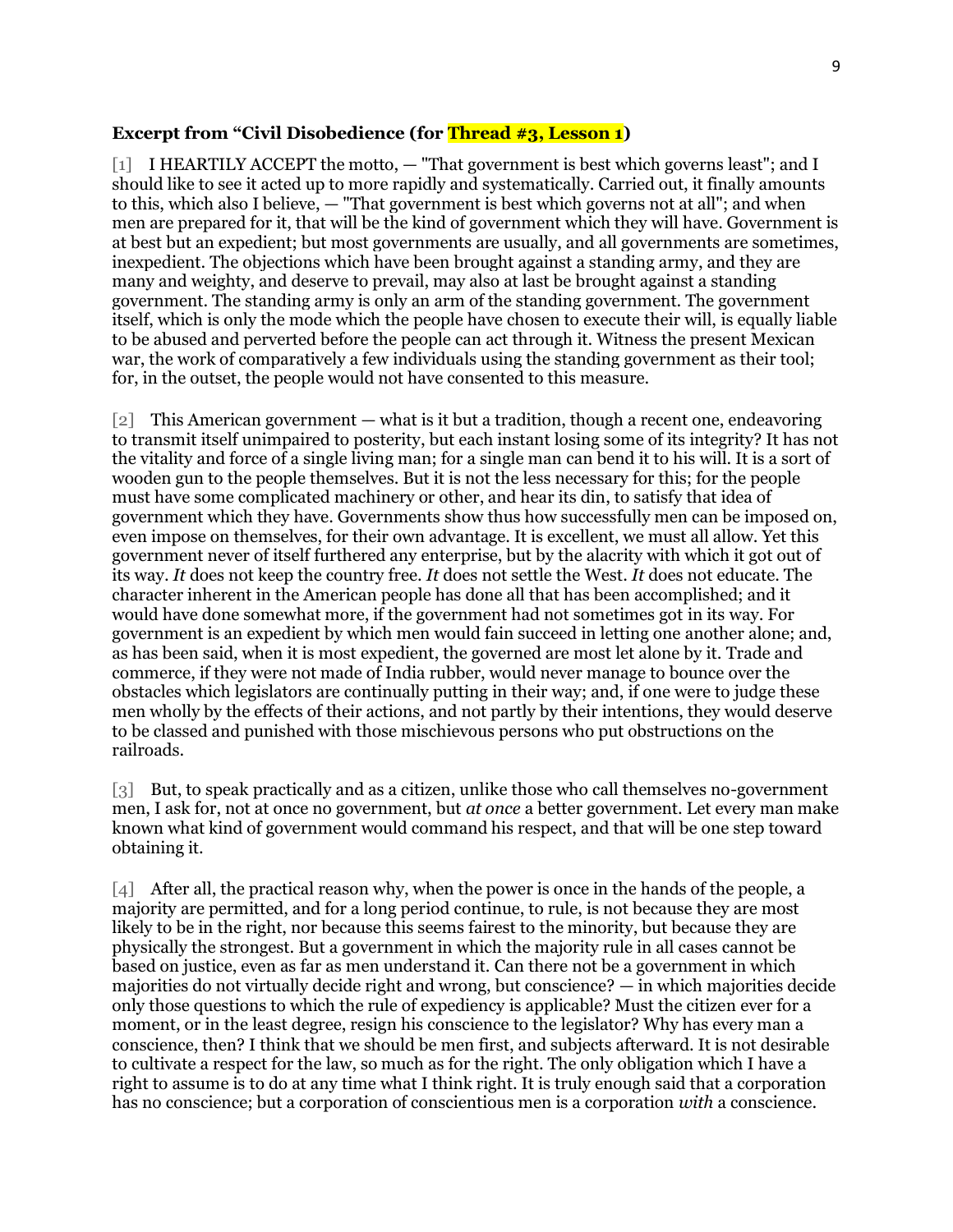#### **Excerpt from "Civil Disobedience (for Thread #3, Lesson 1)**

[1] I HEARTILY ACCEPT the motto,  $-$  "That government is best which governs least"; and I should like to see it acted up to more rapidly and systematically. Carried out, it finally amounts to this, which also I believe, — "That government is best which governs not at all"; and when men are prepared for it, that will be the kind of government which they will have. Government is at best but an expedient; but most governments are usually, and all governments are sometimes, inexpedient. The objections which have been brought against a standing army, and they are many and weighty, and deserve to prevail, may also at last be brought against a standing government. The standing army is only an arm of the standing government. The government itself, which is only the mode which the people have chosen to execute their will, is equally liable to be abused and perverted before the people can act through it. Witness the present Mexican war, the work of comparatively a few individuals using the standing government as their tool; for, in the outset, the people would not have consented to this measure.

[2] This American government — what is it but a tradition, though a recent one, endeavoring to transmit itself unimpaired to posterity, but each instant losing some of its integrity? It has not the vitality and force of a single living man; for a single man can bend it to his will. It is a sort of wooden gun to the people themselves. But it is not the less necessary for this; for the people must have some complicated machinery or other, and hear its din, to satisfy that idea of government which they have. Governments show thus how successfully men can be imposed on, even impose on themselves, for their own advantage. It is excellent, we must all allow. Yet this government never of itself furthered any enterprise, but by the alacrity with which it got out of its way. *It* does not keep the country free. *It* does not settle the West. *It* does not educate. The character inherent in the American people has done all that has been accomplished; and it would have done somewhat more, if the government had not sometimes got in its way. For government is an expedient by which men would fain succeed in letting one another alone; and, as has been said, when it is most expedient, the governed are most let alone by it. Trade and commerce, if they were not made of India rubber, would never manage to bounce over the obstacles which legislators are continually putting in their way; and, if one were to judge these men wholly by the effects of their actions, and not partly by their intentions, they would deserve to be classed and punished with those mischievous persons who put obstructions on the railroads.

[3] But, to speak practically and as a citizen, unlike those who call themselves no-government men, I ask for, not at once no government, but *at once* a better government. Let every man make known what kind of government would command his respect, and that will be one step toward obtaining it.

[4] After all, the practical reason why, when the power is once in the hands of the people, a majority are permitted, and for a long period continue, to rule, is not because they are most likely to be in the right, nor because this seems fairest to the minority, but because they are physically the strongest. But a government in which the majority rule in all cases cannot be based on justice, even as far as men understand it. Can there not be a government in which majorities do not virtually decide right and wrong, but conscience? — in which majorities decide only those questions to which the rule of expediency is applicable? Must the citizen ever for a moment, or in the least degree, resign his conscience to the legislator? Why has every man a conscience, then? I think that we should be men first, and subjects afterward. It is not desirable to cultivate a respect for the law, so much as for the right. The only obligation which I have a right to assume is to do at any time what I think right. It is truly enough said that a corporation has no conscience; but a corporation of conscientious men is a corporation *with* a conscience.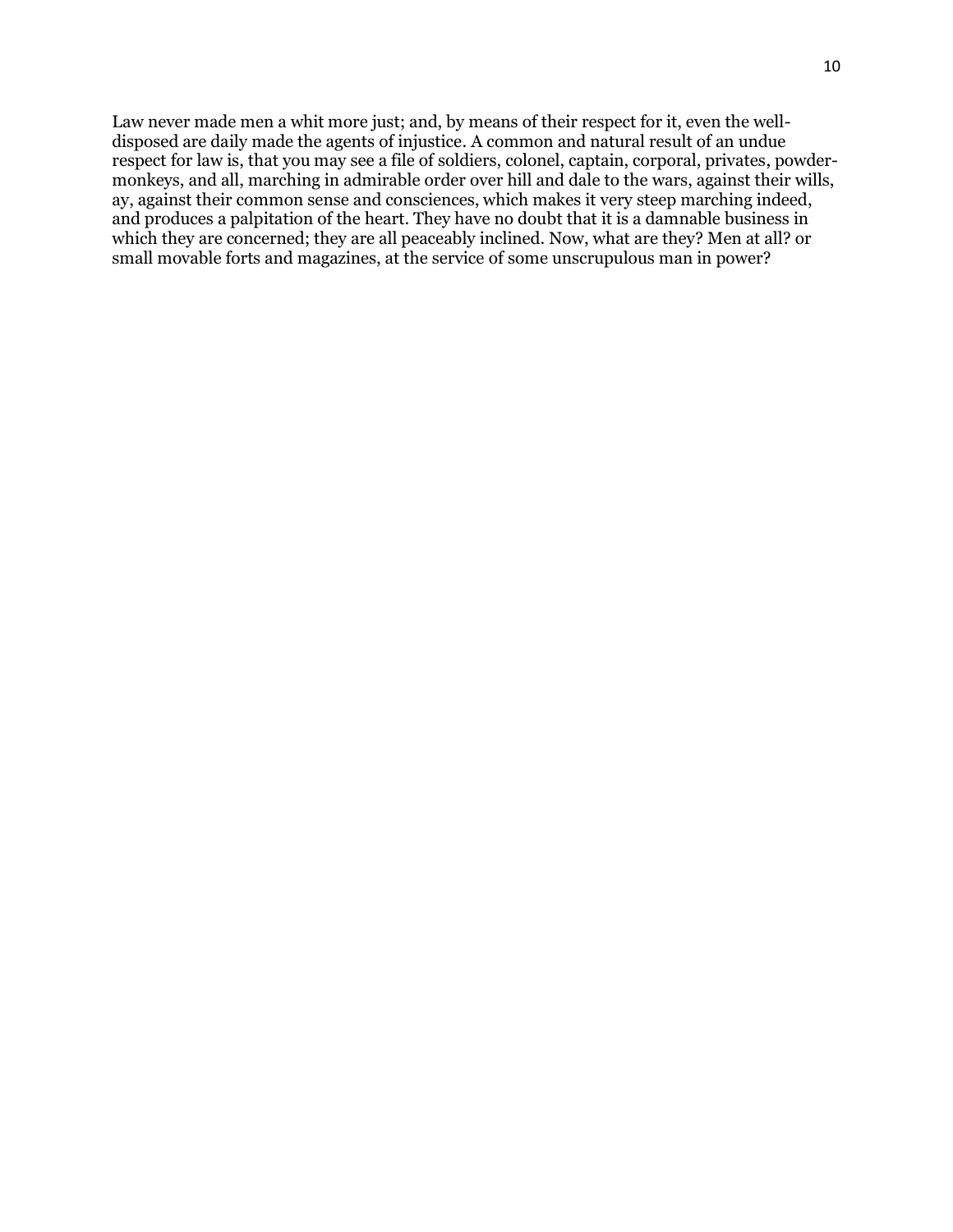Law never made men a whit more just; and, by means of their respect for it, even the welldisposed are daily made the agents of injustice. A common and natural result of an undue respect for law is, that you may see a file of soldiers, colonel, captain, corporal, privates, powdermonkeys, and all, marching in admirable order over hill and dale to the wars, against their wills, ay, against their common sense and consciences, which makes it very steep marching indeed, and produces a palpitation of the heart. They have no doubt that it is a damnable business in which they are concerned; they are all peaceably inclined. Now, what are they? Men at all? or small movable forts and magazines, at the service of some unscrupulous man in power?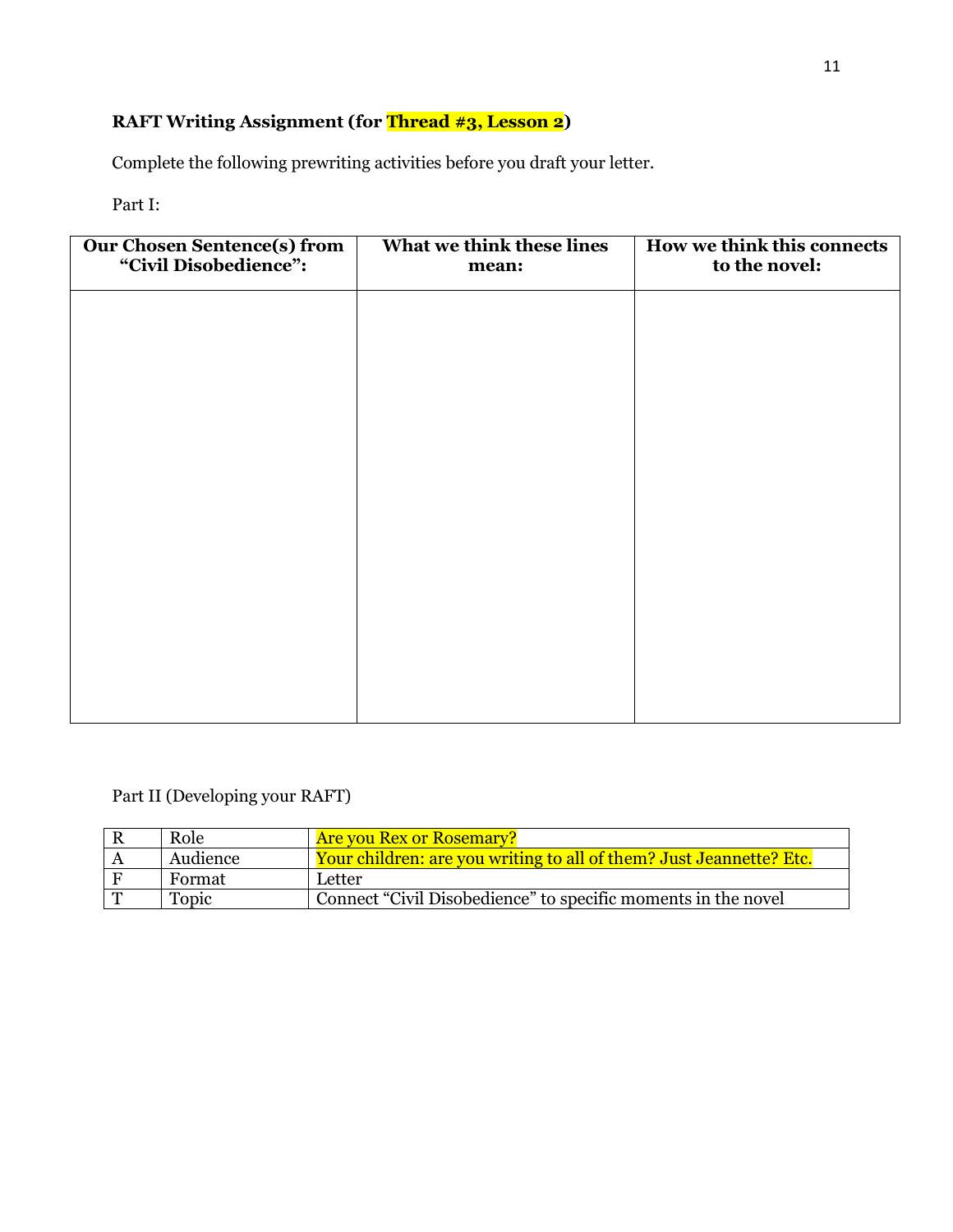# **RAFT Writing Assignment (for Thread #3, Lesson 2)**

Complete the following prewriting activities before you draft your letter.

# Part I:

| <b>Our Chosen Sentence(s) from</b><br>"Civil Disobedience": | What we think these lines<br>mean: | How we think this connects<br>to the novel: |
|-------------------------------------------------------------|------------------------------------|---------------------------------------------|
|                                                             |                                    |                                             |
|                                                             |                                    |                                             |
|                                                             |                                    |                                             |
|                                                             |                                    |                                             |
|                                                             |                                    |                                             |
|                                                             |                                    |                                             |
|                                                             |                                    |                                             |
|                                                             |                                    |                                             |

# Part II (Developing your RAFT)

| Role     | <b>Are you Rex or Rosemary?</b>                                     |
|----------|---------------------------------------------------------------------|
| Audience | Your children: are you writing to all of them? Just Jeannette? Etc. |
| Format   | Letter                                                              |
| Topic    | Connect "Civil Disobedience" to specific moments in the novel       |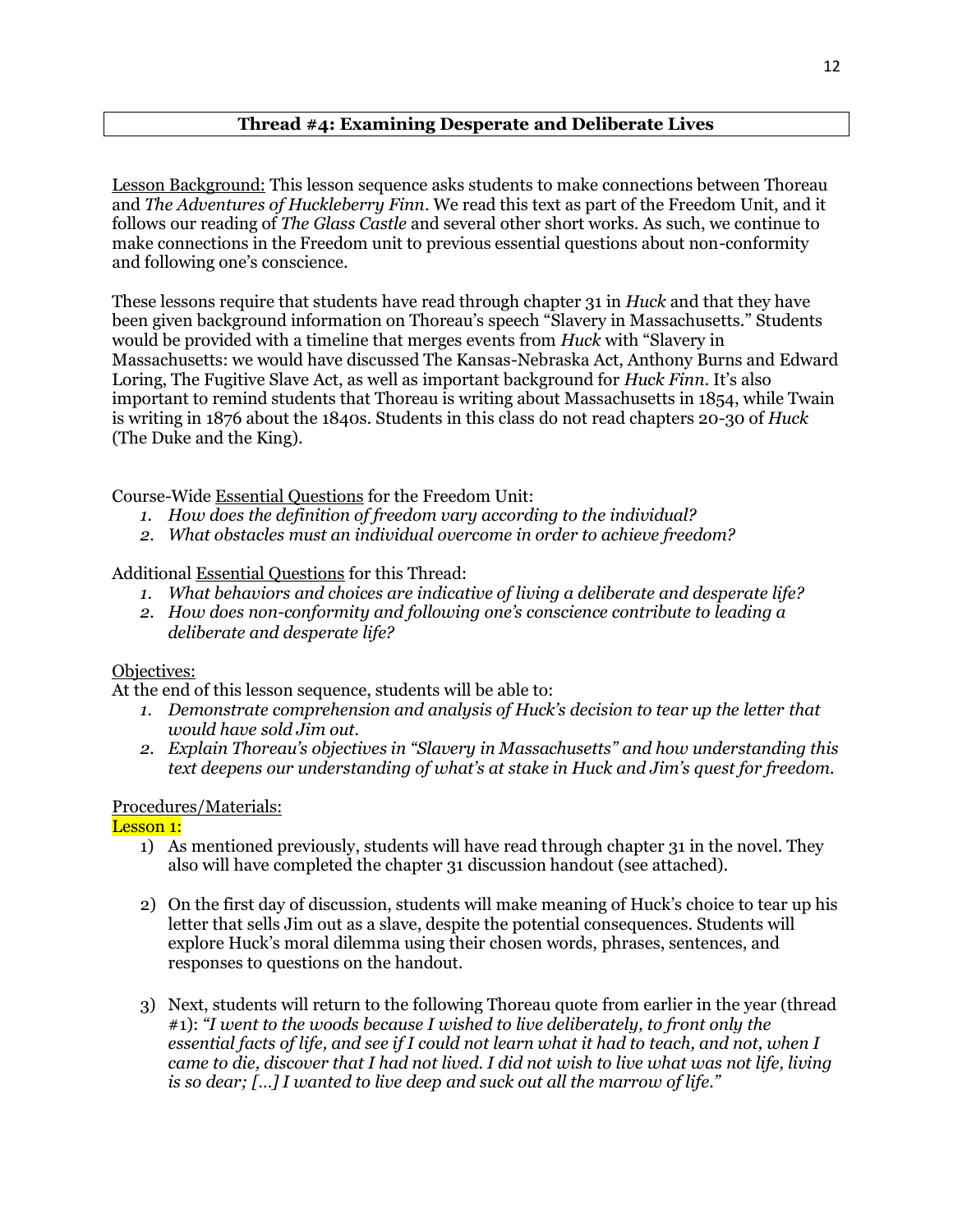# **Thread #4: Examining Desperate and Deliberate Lives**

Lesson Background: This lesson sequence asks students to make connections between Thoreau and *The Adventures of Huckleberry Finn*. We read this text as part of the Freedom Unit, and it follows our reading of *The Glass Castle* and several other short works. As such, we continue to make connections in the Freedom unit to previous essential questions about non-conformity and following one's conscience.

These lessons require that students have read through chapter 31 in *Huck* and that they have been given background information on Thoreau's speech "Slavery in Massachusetts." Students would be provided with a timeline that merges events from *Huck* with "Slavery in Massachusetts: we would have discussed The Kansas-Nebraska Act, Anthony Burns and Edward Loring, The Fugitive Slave Act, as well as important background for *Huck Finn*. It's also important to remind students that Thoreau is writing about Massachusetts in 1854, while Twain is writing in 1876 about the 1840s. Students in this class do not read chapters 20-30 of *Huck* (The Duke and the King).

Course-Wide Essential Questions for the Freedom Unit:

- *1. How does the definition of freedom vary according to the individual?*
- *2. What obstacles must an individual overcome in order to achieve freedom?*

Additional Essential Questions for this Thread:

- *1. What behaviors and choices are indicative of living a deliberate and desperate life?*
- *2. How does non-conformity and following one's conscience contribute to leading a deliberate and desperate life?*

# Objectives:

At the end of this lesson sequence, students will be able to:

- 1. Demonstrate comprehension and analysis of Huck's decision to tear up the letter that *would have sold Jim out.*
- *2. Explain Thoreau's objectives in "Slavery in Massachusetts" and how understanding this text deepens our understanding of what's at stake in Huck and Jim's quest for freedom.*

# Procedures/Materials:

Lesson 1:

- 1) As mentioned previously, students will have read through chapter 31 in the novel. They also will have completed the chapter 31 discussion handout (see attached).
- 2) On the first day of discussion, students will make meaning of Huck's choice to tear up his letter that sells Jim out as a slave, despite the potential consequences. Students will explore Huck's moral dilemma using their chosen words, phrases, sentences, and responses to questions on the handout.
- 3) Next, students will return to the following Thoreau quote from earlier in the year (thread #1): *"I went to the woods because I wished to live deliberately, to front only the essential facts of life, and see if I could not learn what it had to teach, and not, when I came to die, discover that I had not lived. I did not wish to live what was not life, living is so dear; […] I wanted to live deep and suck out all the marrow of life."*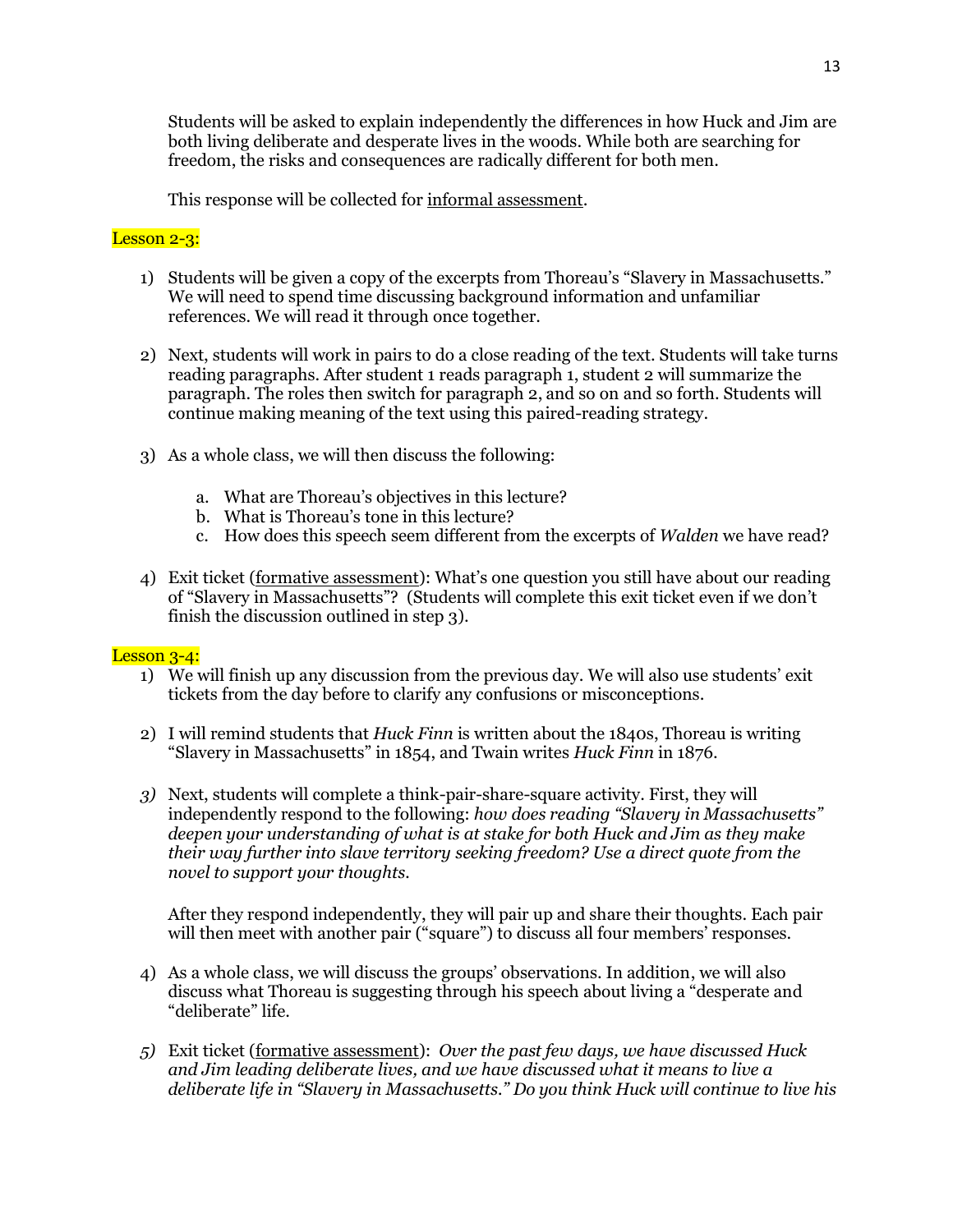Students will be asked to explain independently the differences in how Huck and Jim are both living deliberate and desperate lives in the woods. While both are searching for freedom, the risks and consequences are radically different for both men.

This response will be collected for informal assessment.

## Lesson 2-3:

- 1) Students will be given a copy of the excerpts from Thoreau's "Slavery in Massachusetts." We will need to spend time discussing background information and unfamiliar references. We will read it through once together.
- 2) Next, students will work in pairs to do a close reading of the text. Students will take turns reading paragraphs. After student 1 reads paragraph 1, student 2 will summarize the paragraph. The roles then switch for paragraph 2, and so on and so forth. Students will continue making meaning of the text using this paired-reading strategy.
- 3) As a whole class, we will then discuss the following:
	- a. What are Thoreau's objectives in this lecture?
	- b. What is Thoreau's tone in this lecture?
	- c. How does this speech seem different from the excerpts of *Walden* we have read?
- 4) Exit ticket (formative assessment): What's one question you still have about our reading of "Slavery in Massachusetts"? (Students will complete this exit ticket even if we don't finish the discussion outlined in step 3).

# Lesson 3-4:

- 1) We will finish up any discussion from the previous day. We will also use students' exit tickets from the day before to clarify any confusions or misconceptions.
- 2) I will remind students that *Huck Finn* is written about the 1840s, Thoreau is writing "Slavery in Massachusetts" in 1854, and Twain writes *Huck Finn* in 1876.
- *3)* Next, students will complete a think-pair-share-square activity. First, they will independently respond to the following: *how does reading "Slavery in Massachusetts" deepen your understanding of what is at stake for both Huck and Jim as they make their way further into slave territory seeking freedom? Use a direct quote from the novel to support your thoughts.*

After they respond independently, they will pair up and share their thoughts. Each pair will then meet with another pair ("square") to discuss all four members' responses.

- 4) As a whole class, we will discuss the groups' observations. In addition, we will also discuss what Thoreau is suggesting through his speech about living a "desperate and "deliberate" life.
- *5)* Exit ticket (formative assessment): *Over the past few days, we have discussed Huck and Jim leading deliberate lives, and we have discussed what it means to live a deliberate life in "Slavery in Massachusetts." Do you think Huck will continue to live his*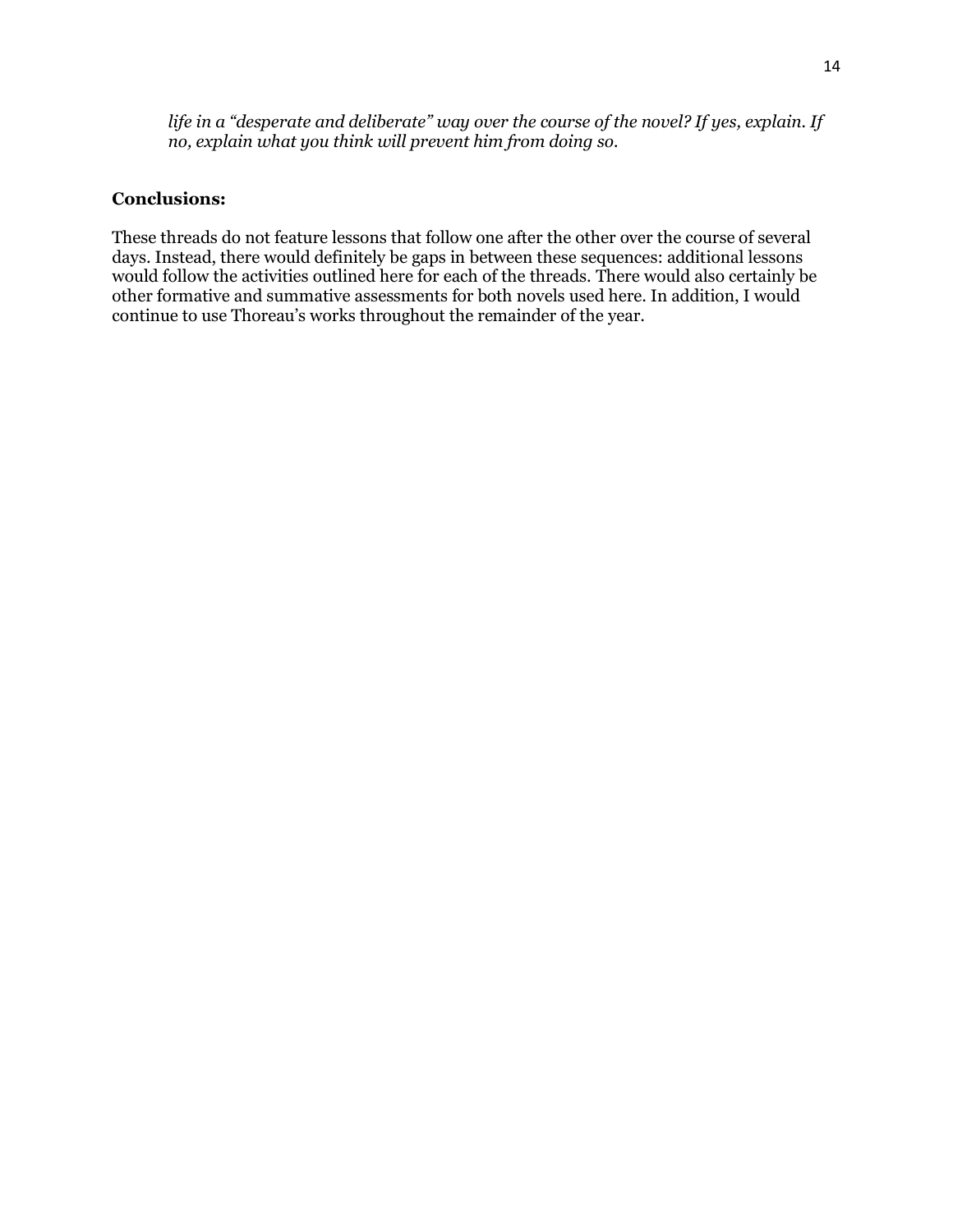*life in a "desperate and deliberate" way over the course of the novel? If yes, explain. If no, explain what you think will prevent him from doing so.* 

# **Conclusions:**

These threads do not feature lessons that follow one after the other over the course of several days. Instead, there would definitely be gaps in between these sequences: additional lessons would follow the activities outlined here for each of the threads. There would also certainly be other formative and summative assessments for both novels used here. In addition, I would continue to use Thoreau's works throughout the remainder of the year.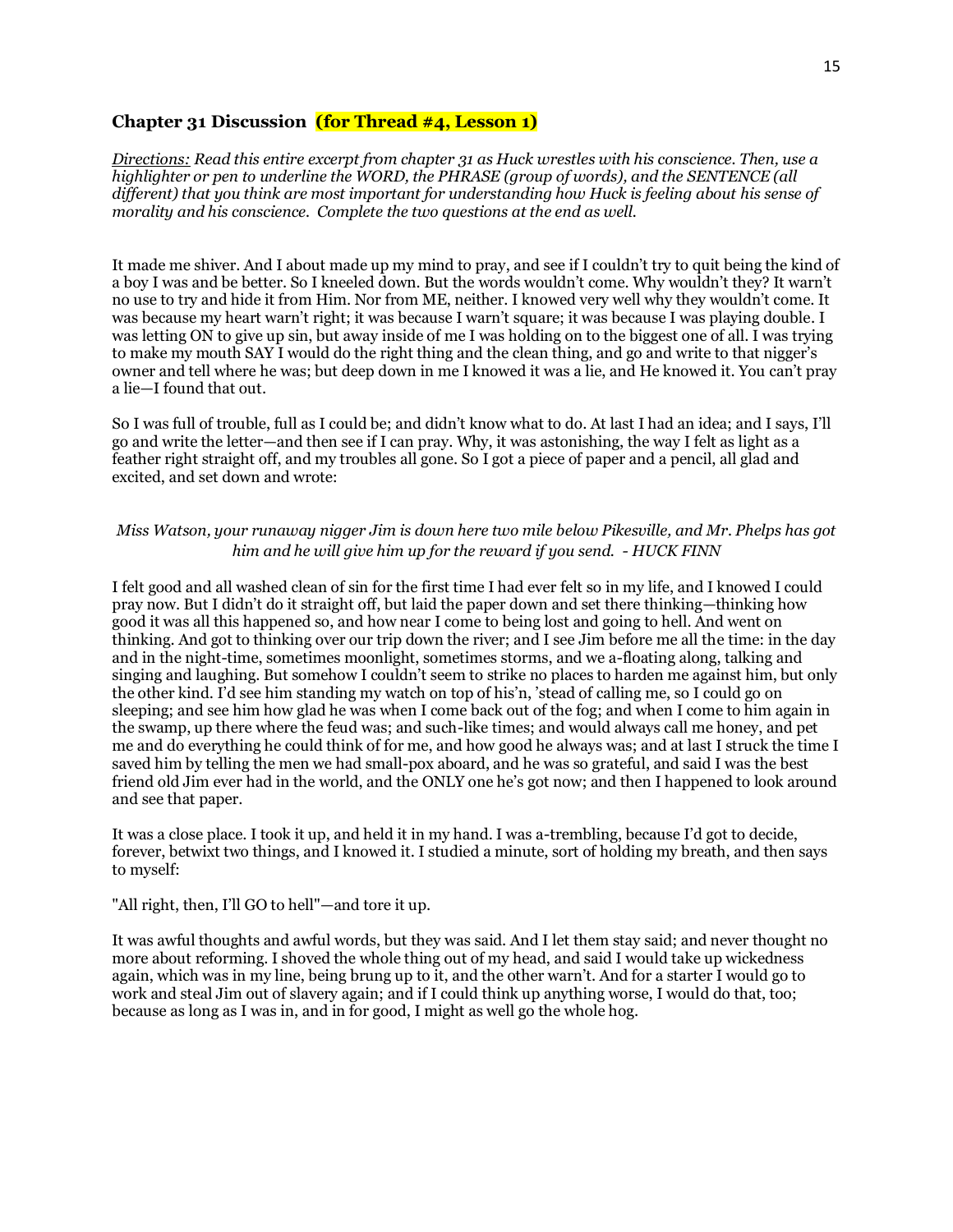#### **Chapter 31 Discussion (for Thread #4, Lesson 1)**

*Directions: Read this entire excerpt from chapter 31 as Huck wrestles with his conscience. Then, use a highlighter or pen to underline the WORD, the PHRASE (group of words), and the SENTENCE (all different) that you think are most important for understanding how Huck is feeling about his sense of morality and his conscience. Complete the two questions at the end as well.* 

It made me shiver. And I about made up my mind to pray, and see if I couldn't try to quit being the kind of a boy I was and be better. So I kneeled down. But the words wouldn't come. Why wouldn't they? It warn't no use to try and hide it from Him. Nor from ME, neither. I knowed very well why they wouldn't come. It was because my heart warn't right; it was because I warn't square; it was because I was playing double. I was letting ON to give up sin, but away inside of me I was holding on to the biggest one of all. I was trying to make my mouth SAY I would do the right thing and the clean thing, and go and write to that nigger's owner and tell where he was; but deep down in me I knowed it was a lie, and He knowed it. You can't pray a lie—I found that out.

So I was full of trouble, full as I could be; and didn't know what to do. At last I had an idea; and I says, I'll go and write the letter—and then see if I can pray. Why, it was astonishing, the way I felt as light as a feather right straight off, and my troubles all gone. So I got a piece of paper and a pencil, all glad and excited, and set down and wrote:

### *Miss Watson, your runaway nigger Jim is down here two mile below Pikesville, and Mr. Phelps has got him and he will give him up for the reward if you send. - HUCK FINN*

I felt good and all washed clean of sin for the first time I had ever felt so in my life, and I knowed I could pray now. But I didn't do it straight off, but laid the paper down and set there thinking—thinking how good it was all this happened so, and how near I come to being lost and going to hell. And went on thinking. And got to thinking over our trip down the river; and I see Jim before me all the time: in the day and in the night-time, sometimes moonlight, sometimes storms, and we a-floating along, talking and singing and laughing. But somehow I couldn't seem to strike no places to harden me against him, but only the other kind. I'd see him standing my watch on top of his'n, 'stead of calling me, so I could go on sleeping; and see him how glad he was when I come back out of the fog; and when I come to him again in the swamp, up there where the feud was; and such-like times; and would always call me honey, and pet me and do everything he could think of for me, and how good he always was; and at last I struck the time I saved him by telling the men we had small-pox aboard, and he was so grateful, and said I was the best friend old Jim ever had in the world, and the ONLY one he's got now; and then I happened to look around and see that paper.

It was a close place. I took it up, and held it in my hand. I was a-trembling, because I'd got to decide, forever, betwixt two things, and I knowed it. I studied a minute, sort of holding my breath, and then says to myself:

#### "All right, then, I'll GO to hell"—and tore it up.

It was awful thoughts and awful words, but they was said. And I let them stay said; and never thought no more about reforming. I shoved the whole thing out of my head, and said I would take up wickedness again, which was in my line, being brung up to it, and the other warn't. And for a starter I would go to work and steal Jim out of slavery again; and if I could think up anything worse, I would do that, too; because as long as I was in, and in for good, I might as well go the whole hog.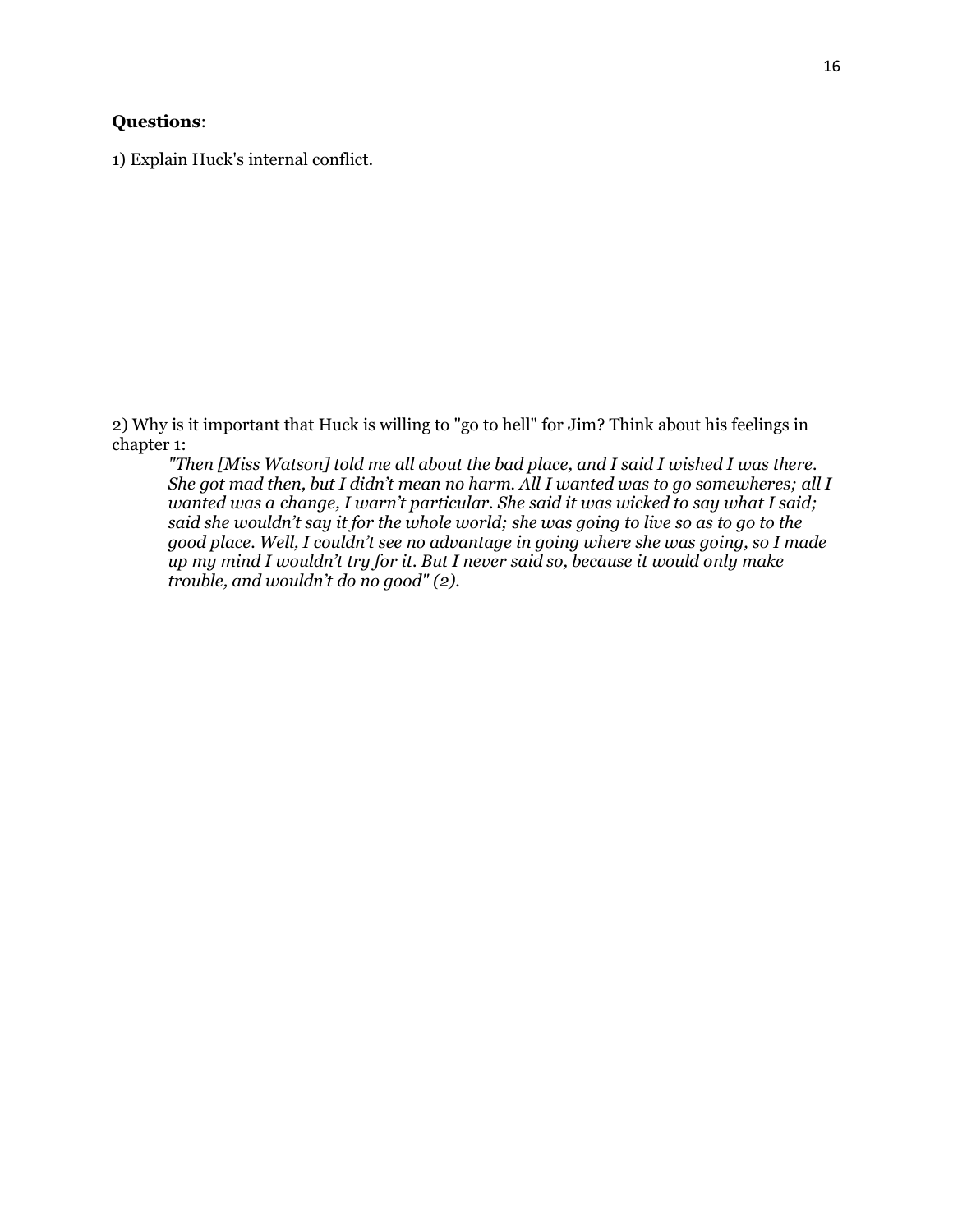# **Questions**:

1) Explain Huck's internal conflict.

2) Why is it important that Huck is willing to "go to hell" for Jim? Think about his feelings in chapter 1:

*"Then [Miss Watson] told me all about the bad place, and I said I wished I was there. She got mad then, but I didn't mean no harm. All I wanted was to go somewheres; all I wanted was a change, I warn't particular. She said it was wicked to say what I said; said she wouldn't say it for the whole world; she was going to live so as to go to the good place. Well, I couldn't see no advantage in going where she was going, so I made up my mind I wouldn't try for it. But I never said so, because it would only make trouble, and wouldn't do no good" (2).*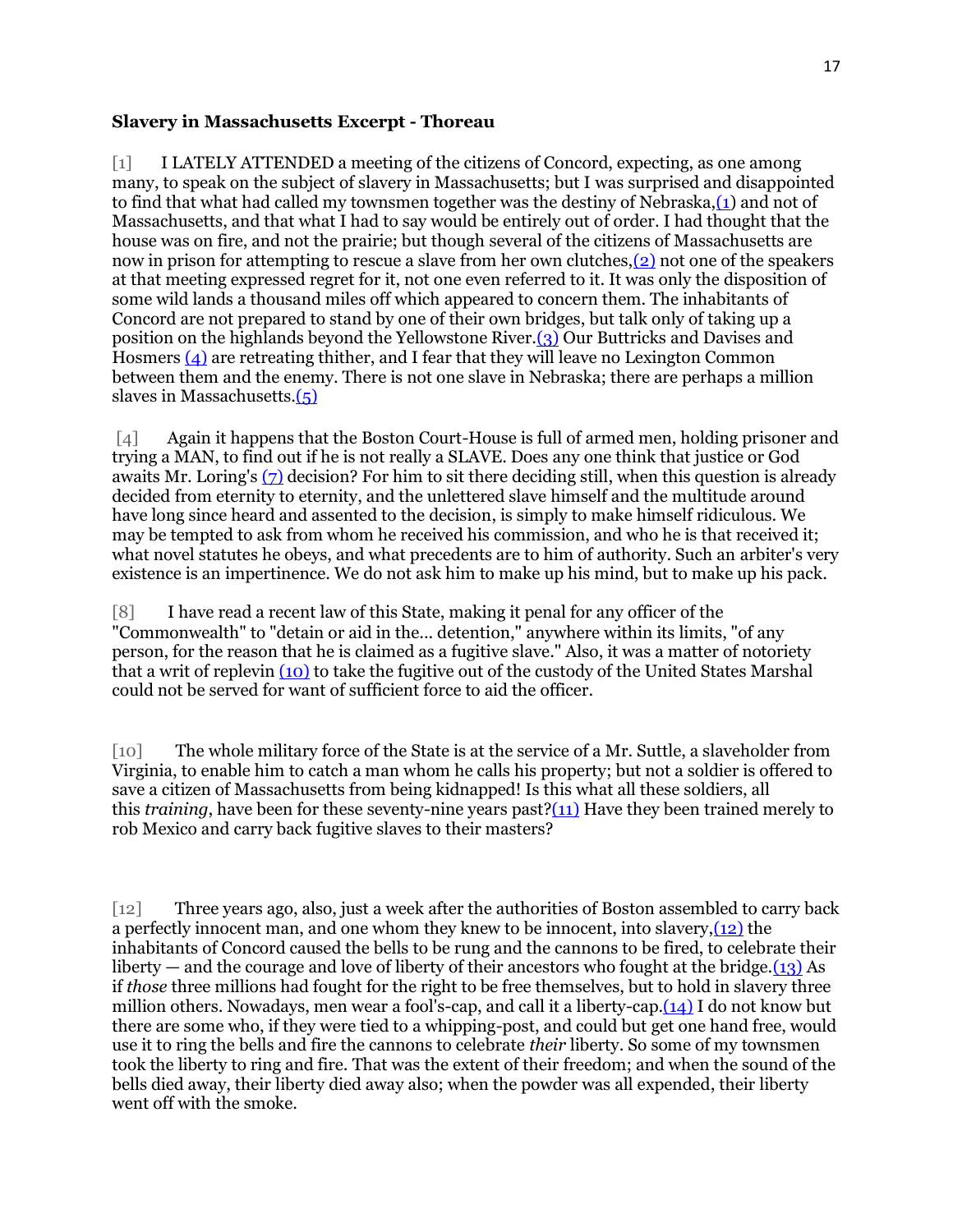#### **Slavery in Massachusetts Excerpt - Thoreau**

[1] I LATELY ATTENDED a meeting of the citizens of Concord, expecting, as one among many, to speak on the subject of slavery in Massachusetts; but I was surprised and disappointed to find that what had called my townsmen together was the destiny of Nebraska[,\(1\)](http://www.thoreau.eserver.org/slavery.html#n) and not of Massachusetts, and that what I had to say would be entirely out of order. I had thought that the house was on fire, and not the prairie; but though several of the citizens of Massachusetts are now in prison for attempting to rescue a slave from her own clutches[,\(2\)](http://www.thoreau.eserver.org/slavery.html#n) not one of the speakers at that meeting expressed regret for it, not one even referred to it. It was only the disposition of some wild lands a thousand miles off which appeared to concern them. The inhabitants of Concord are not prepared to stand by one of their own bridges, but talk only of taking up a position on the highlands beyond the Yellowstone River[.\(3\)](http://www.thoreau.eserver.org/slavery.html#n) Our Buttricks and Davises and Hosmers [\(4\)](http://www.thoreau.eserver.org/slavery.html#n) are retreating thither, and I fear that they will leave no Lexington Common between them and the enemy. There is not one slave in Nebraska; there are perhaps a million slaves in Massachusetts[.\(5\)](http://www.thoreau.eserver.org/slavery.html#n)

[4] Again it happens that the Boston Court-House is full of armed men, holding prisoner and trying a MAN, to find out if he is not really a SLAVE. Does any one think that justice or God awaits Mr. Loring's [\(7\)](http://www.thoreau.eserver.org/slavery.html#n) decision? For him to sit there deciding still, when this question is already decided from eternity to eternity, and the unlettered slave himself and the multitude around have long since heard and assented to the decision, is simply to make himself ridiculous. We may be tempted to ask from whom he received his commission, and who he is that received it; what novel statutes he obeys, and what precedents are to him of authority. Such an arbiter's very existence is an impertinence. We do not ask him to make up his mind, but to make up his pack.

[8] I have read a recent law of this State, making it penal for any officer of the "Commonwealth" to "detain or aid in the... detention," anywhere within its limits, "of any person, for the reason that he is claimed as a fugitive slave." Also, it was a matter of notoriety that a writ of replevin [\(10\)](http://www.thoreau.eserver.org/slavery.html#n2) to take the fugitive out of the custody of the United States Marshal could not be served for want of sufficient force to aid the officer.

[10] The whole military force of the State is at the service of a Mr. Suttle, a slaveholder from Virginia, to enable him to catch a man whom he calls his property; but not a soldier is offered to save a citizen of Massachusetts from being kidnapped! Is this what all these soldiers, all this *training*, have been for these seventy-nine years past[?\(11\)](http://www.thoreau.eserver.org/slavery.html#n2) Have they been trained merely to rob Mexico and carry back fugitive slaves to their masters?

[12] Three years ago, also, just a week after the authorities of Boston assembled to carry back a perfectly innocent man, and one whom they knew to be innocent, into slavery[,\(12\)](http://www.thoreau.eserver.org/slavery.html#n2) the inhabitants of Concord caused the bells to be rung and the cannons to be fired, to celebrate their liberty — and the courage and love of liberty of their ancestors who fought at the bridge. $(13)$  As if *those* three millions had fought for the right to be free themselves, but to hold in slavery three million others. Nowadays, men wear a fool's-cap, and call it a liberty-cap[.\(14\)](http://www.thoreau.eserver.org/slavery.html#n2) I do not know but there are some who, if they were tied to a whipping-post, and could but get one hand free, would use it to ring the bells and fire the cannons to celebrate *their* liberty. So some of my townsmen took the liberty to ring and fire. That was the extent of their freedom; and when the sound of the bells died away, their liberty died away also; when the powder was all expended, their liberty went off with the smoke.